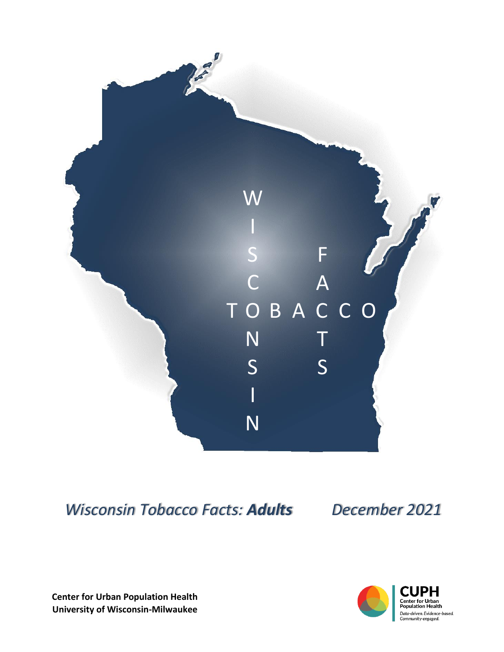

*Wisconsin Tobacco Facts: Adults December 2021*

**Center for Urban Population Health University of Wisconsin-Milwaukee**

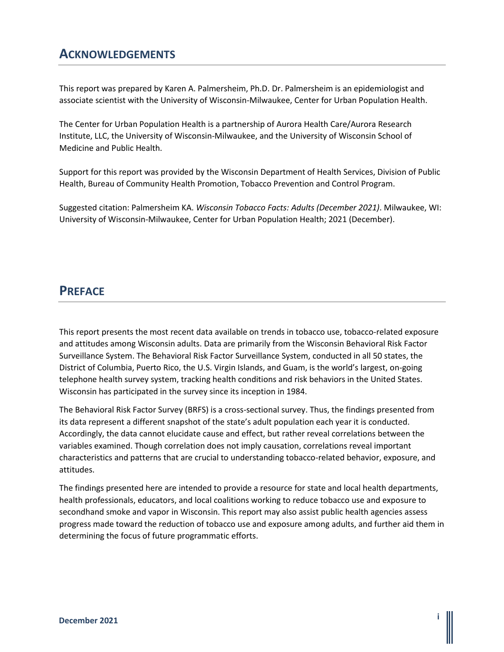### **ACKNOWLEDGEMENTS**

This report was prepared by Karen A. Palmersheim, Ph.D. Dr. Palmersheim is an epidemiologist and associate scientist with the University of Wisconsin-Milwaukee, Center for Urban Population Health.

The Center for Urban Population Health is a partnership of Aurora Health Care/Aurora Research Institute, LLC, the University of Wisconsin-Milwaukee, and the University of Wisconsin School of Medicine and Public Health.

Support for this report was provided by the Wisconsin Department of Health Services, Division of Public Health, Bureau of Community Health Promotion, Tobacco Prevention and Control Program.

Suggested citation: Palmersheim KA. *Wisconsin Tobacco Facts: Adults (December 2021)*. Milwaukee, WI: University of Wisconsin-Milwaukee, Center for Urban Population Health; 2021 (December).

### **PREFACE**

This report presents the most recent data available on trends in tobacco use, tobacco-related exposure and attitudes among Wisconsin adults. Data are primarily from the Wisconsin Behavioral Risk Factor Surveillance System. The Behavioral Risk Factor Surveillance System, conducted in all 50 states, the District of Columbia, Puerto Rico, the U.S. Virgin Islands, and Guam, is the world's largest, on-going telephone health survey system, tracking health conditions and risk behaviors in the United States. Wisconsin has participated in the survey since its inception in 1984.

The Behavioral Risk Factor Survey (BRFS) is a cross-sectional survey. Thus, the findings presented from its data represent a different snapshot of the state's adult population each year it is conducted. Accordingly, the data cannot elucidate cause and effect, but rather reveal correlations between the variables examined. Though correlation does not imply causation, correlations reveal important characteristics and patterns that are crucial to understanding tobacco-related behavior, exposure, and attitudes.

The findings presented here are intended to provide a resource for state and local health departments, health professionals, educators, and local coalitions working to reduce tobacco use and exposure to secondhand smoke and vapor in Wisconsin. This report may also assist public health agencies assess progress made toward the reduction of tobacco use and exposure among adults, and further aid them in determining the focus of future programmatic efforts.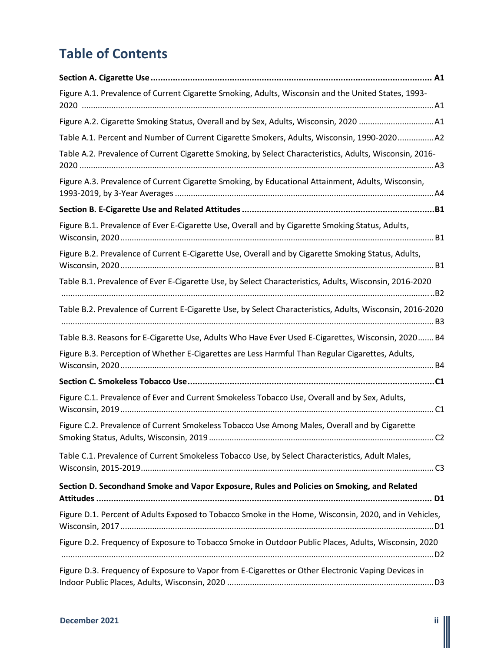# **Table of Contents**

| Figure A.1. Prevalence of Current Cigarette Smoking, Adults, Wisconsin and the United States, 1993-                                                         |
|-------------------------------------------------------------------------------------------------------------------------------------------------------------|
|                                                                                                                                                             |
| Table A.1. Percent and Number of Current Cigarette Smokers, Adults, Wisconsin, 1990-2020A2                                                                  |
| Table A.2. Prevalence of Current Cigarette Smoking, by Select Characteristics, Adults, Wisconsin, 2016-                                                     |
| Figure A.3. Prevalence of Current Cigarette Smoking, by Educational Attainment, Adults, Wisconsin,                                                          |
|                                                                                                                                                             |
| Figure B.1. Prevalence of Ever E-Cigarette Use, Overall and by Cigarette Smoking Status, Adults,                                                            |
| Figure B.2. Prevalence of Current E-Cigarette Use, Overall and by Cigarette Smoking Status, Adults,                                                         |
| Table B.1. Prevalence of Ever E-Cigarette Use, by Select Characteristics, Adults, Wisconsin, 2016-2020                                                      |
| Table B.2. Prevalence of Current E-Cigarette Use, by Select Characteristics, Adults, Wisconsin, 2016-2020                                                   |
| Table B.3. Reasons for E-Cigarette Use, Adults Who Have Ever Used E-Cigarettes, Wisconsin, 2020 B4                                                          |
| Figure B.3. Perception of Whether E-Cigarettes are Less Harmful Than Regular Cigarettes, Adults,                                                            |
|                                                                                                                                                             |
| Figure C.1. Prevalence of Ever and Current Smokeless Tobacco Use, Overall and by Sex, Adults,                                                               |
| Figure C.2. Prevalence of Current Smokeless Tobacco Use Among Males, Overall and by Cigarette<br>Smoking Status, Adults, Wisconsin, 2019.<br>C <sub>2</sub> |
| Table C.1. Prevalence of Current Smokeless Tobacco Use, by Select Characteristics, Adult Males,                                                             |
| Section D. Secondhand Smoke and Vapor Exposure, Rules and Policies on Smoking, and Related                                                                  |
| Figure D.1. Percent of Adults Exposed to Tobacco Smoke in the Home, Wisconsin, 2020, and in Vehicles,                                                       |
| Figure D.2. Frequency of Exposure to Tobacco Smoke in Outdoor Public Places, Adults, Wisconsin, 2020                                                        |
| Figure D.3. Frequency of Exposure to Vapor from E-Cigarettes or Other Electronic Vaping Devices in                                                          |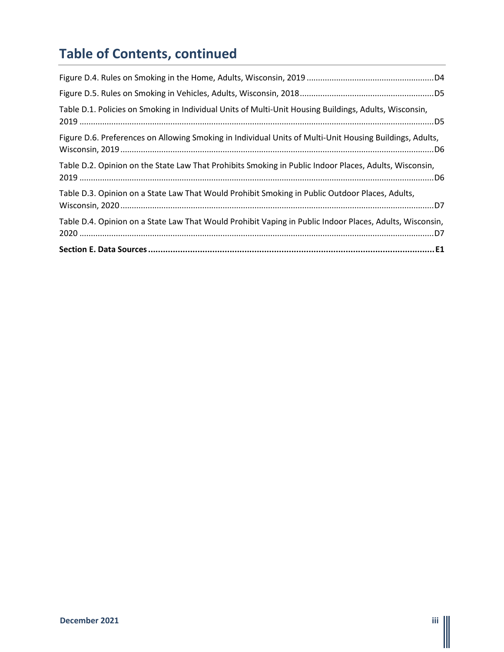# **Table of Contents, continued**

| Table D.4. Opinion on a State Law That Would Prohibit Vaping in Public Indoor Places, Adults, Wisconsin, |
|----------------------------------------------------------------------------------------------------------|
| Table D.3. Opinion on a State Law That Would Prohibit Smoking in Public Outdoor Places, Adults,          |
| Table D.2. Opinion on the State Law That Prohibits Smoking in Public Indoor Places, Adults, Wisconsin,   |
| Figure D.6. Preferences on Allowing Smoking in Individual Units of Multi-Unit Housing Buildings, Adults, |
| Table D.1. Policies on Smoking in Individual Units of Multi-Unit Housing Buildings, Adults, Wisconsin,   |
|                                                                                                          |
|                                                                                                          |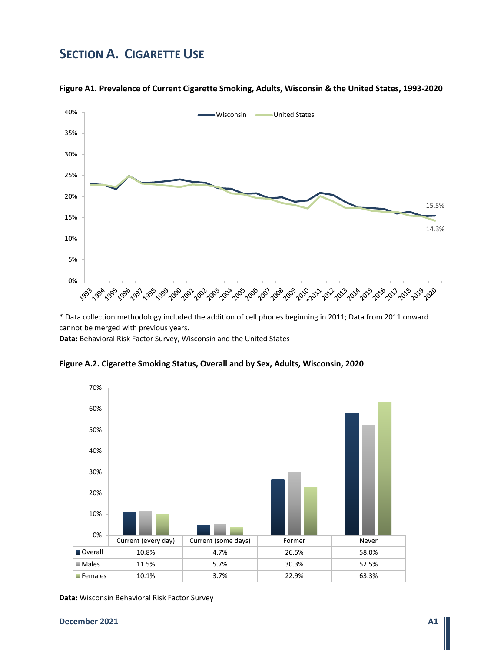## **SECTION A. CIGARETTE USE**



**Figure A1. Prevalence of Current Cigarette Smoking, Adults, Wisconsin & the United States, 1993-2020**

\* Data collection methodology included the addition of cell phones beginning in 2011; Data from 2011 onward cannot be merged with previous years.

**Data:** Behavioral Risk Factor Survey, Wisconsin and the United States



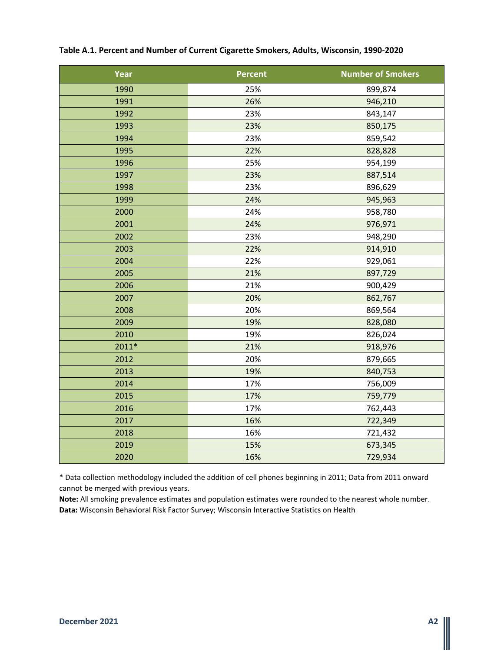| Year    | <b>Percent</b> | <b>Number of Smokers</b> |
|---------|----------------|--------------------------|
| 1990    | 25%            | 899,874                  |
| 1991    | 26%            | 946,210                  |
| 1992    | 23%            | 843,147                  |
| 1993    | 23%            | 850,175                  |
| 1994    | 23%            | 859,542                  |
| 1995    | 22%            | 828,828                  |
| 1996    | 25%            | 954,199                  |
| 1997    | 23%            | 887,514                  |
| 1998    | 23%            | 896,629                  |
| 1999    | 24%            | 945,963                  |
| 2000    | 24%            | 958,780                  |
| 2001    | 24%            | 976,971                  |
| 2002    | 23%            | 948,290                  |
| 2003    | 22%            | 914,910                  |
| 2004    | 22%            | 929,061                  |
| 2005    | 21%            | 897,729                  |
| 2006    | 21%            | 900,429                  |
| 2007    | 20%            | 862,767                  |
| 2008    | 20%            | 869,564                  |
| 2009    | 19%            | 828,080                  |
| 2010    | 19%            | 826,024                  |
| $2011*$ | 21%            | 918,976                  |
| 2012    | 20%            | 879,665                  |
| 2013    | 19%            | 840,753                  |
| 2014    | 17%            | 756,009                  |
| 2015    | 17%            | 759,779                  |
| 2016    | 17%            | 762,443                  |
| 2017    | 16%            | 722,349                  |
| 2018    | 16%            | 721,432                  |
| 2019    | 15%            | 673,345                  |
| 2020    | 16%            | 729,934                  |

#### **Table A.1. Percent and Number of Current Cigarette Smokers, Adults, Wisconsin, 1990-2020**

\* Data collection methodology included the addition of cell phones beginning in 2011; Data from 2011 onward cannot be merged with previous years.

**Note:** All smoking prevalence estimates and population estimates were rounded to the nearest whole number. **Data:** Wisconsin Behavioral Risk Factor Survey; Wisconsin Interactive Statistics on Health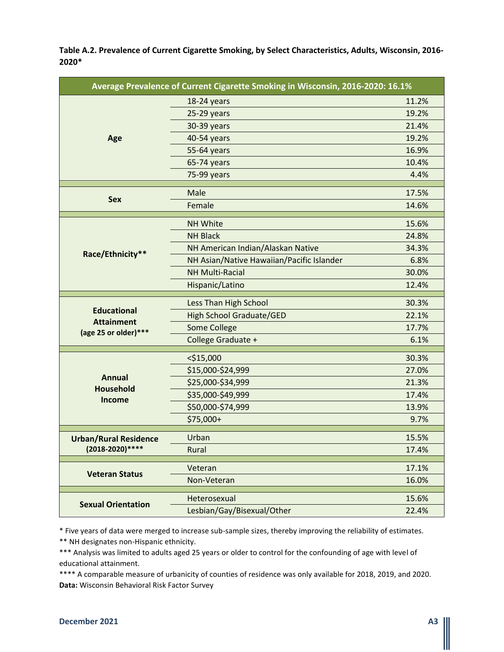**Table A.2. Prevalence of Current Cigarette Smoking, by Select Characteristics, Adults, Wisconsin, 2016- 2020\***

| Average Prevalence of Current Cigarette Smoking in Wisconsin, 2016-2020: 16.1% |                                           |       |
|--------------------------------------------------------------------------------|-------------------------------------------|-------|
|                                                                                | 18-24 years                               | 11.2% |
|                                                                                | 25-29 years                               | 19.2% |
|                                                                                | 30-39 years                               | 21.4% |
| Age                                                                            | 40-54 years                               | 19.2% |
|                                                                                | 55-64 years                               | 16.9% |
|                                                                                | 65-74 years                               | 10.4% |
|                                                                                | 75-99 years                               | 4.4%  |
|                                                                                | Male                                      | 17.5% |
| <b>Sex</b>                                                                     | Female                                    | 14.6% |
|                                                                                | <b>NH White</b>                           | 15.6% |
|                                                                                | <b>NH Black</b>                           | 24.8% |
|                                                                                | NH American Indian/Alaskan Native         | 34.3% |
| Race/Ethnicity**                                                               | NH Asian/Native Hawaiian/Pacific Islander | 6.8%  |
|                                                                                | <b>NH Multi-Racial</b>                    | 30.0% |
|                                                                                | Hispanic/Latino                           | 12.4% |
|                                                                                | Less Than High School                     | 30.3% |
| <b>Educational</b>                                                             | <b>High School Graduate/GED</b>           | 22.1% |
| <b>Attainment</b><br>(age 25 or older)***                                      | Some College                              | 17.7% |
|                                                                                | College Graduate +                        | 6.1%  |
|                                                                                | $<$ \$15,000                              | 30.3% |
|                                                                                | \$15,000-\$24,999                         | 27.0% |
| <b>Annual</b>                                                                  | \$25,000-\$34,999                         | 21.3% |
| <b>Household</b>                                                               | \$35,000-\$49,999                         | 17.4% |
| Income                                                                         | \$50,000-\$74,999                         | 13.9% |
|                                                                                | \$75,000+                                 | 9.7%  |
| <b>Urban/Rural Residence</b>                                                   | Urban                                     | 15.5% |
| (2018-2020) ****                                                               | Rural                                     | 17.4% |
|                                                                                |                                           |       |
| <b>Veteran Status</b>                                                          | Veteran                                   | 17.1% |
|                                                                                | Non-Veteran                               | 16.0% |
| <b>Sexual Orientation</b>                                                      | Heterosexual                              | 15.6% |
|                                                                                | Lesbian/Gay/Bisexual/Other                | 22.4% |

\* Five years of data were merged to increase sub-sample sizes, thereby improving the reliability of estimates.

\*\* NH designates non-Hispanic ethnicity.

\*\*\* Analysis was limited to adults aged 25 years or older to control for the confounding of age with level of educational attainment.

\*\*\*\* A comparable measure of urbanicity of counties of residence was only available for 2018, 2019, and 2020. **Data:** Wisconsin Behavioral Risk Factor Survey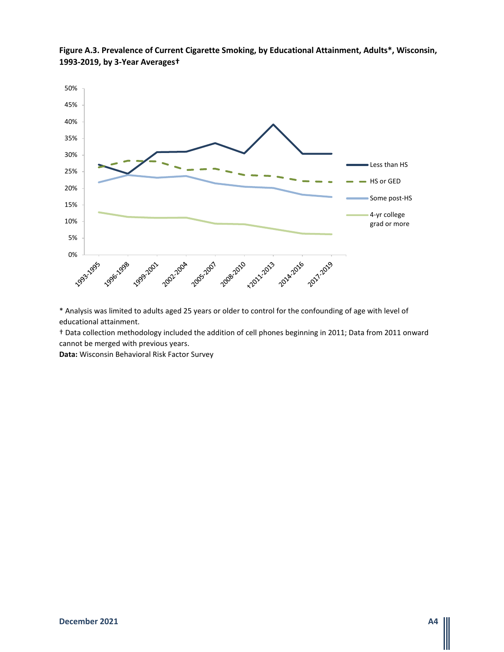

**Figure A.3. Prevalence of Current Cigarette Smoking, by Educational Attainment, Adults\*, Wisconsin, 1993-2019, by 3-Year Averages†**

\* Analysis was limited to adults aged 25 years or older to control for the confounding of age with level of educational attainment.

† Data collection methodology included the addition of cell phones beginning in 2011; Data from 2011 onward cannot be merged with previous years.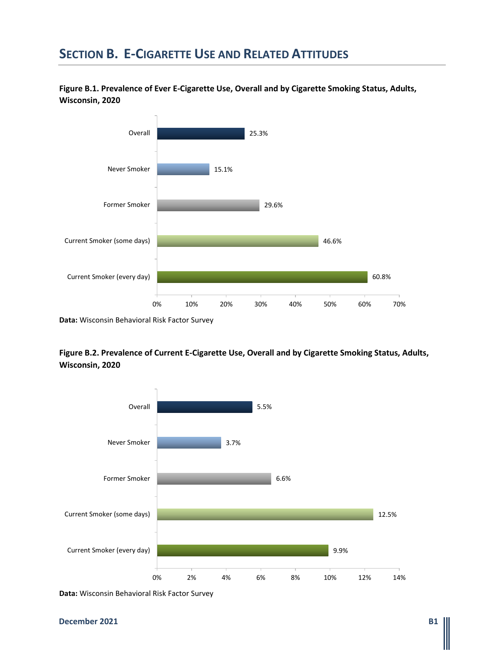## **SECTION B. E-CIGARETTE USE AND RELATED ATTITUDES**

**Figure B.1. Prevalence of Ever E-Cigarette Use, Overall and by Cigarette Smoking Status, Adults, Wisconsin, 2020**



**Figure B.2. Prevalence of Current E-Cigarette Use, Overall and by Cigarette Smoking Status, Adults, Wisconsin, 2020**

![](_page_8_Figure_4.jpeg)

**Data:** Wisconsin Behavioral Risk Factor Survey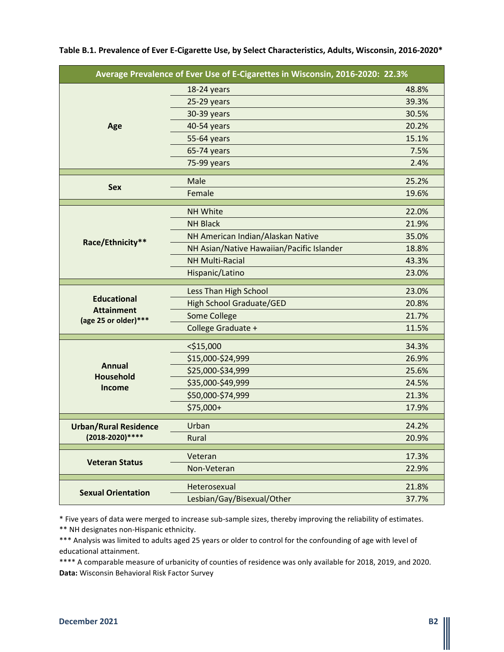| Average Prevalence of Ever Use of E-Cigarettes in Wisconsin, 2016-2020: 22.3% |                                           |       |
|-------------------------------------------------------------------------------|-------------------------------------------|-------|
|                                                                               | 18-24 years                               | 48.8% |
|                                                                               | 25-29 years                               | 39.3% |
|                                                                               | 30-39 years                               | 30.5% |
| Age                                                                           | 40-54 years                               | 20.2% |
|                                                                               | 55-64 years                               | 15.1% |
|                                                                               | 65-74 years                               | 7.5%  |
|                                                                               | 75-99 years                               | 2.4%  |
|                                                                               | Male                                      | 25.2% |
| <b>Sex</b>                                                                    | Female                                    | 19.6% |
|                                                                               | <b>NH White</b>                           | 22.0% |
|                                                                               | <b>NH Black</b>                           | 21.9% |
|                                                                               | NH American Indian/Alaskan Native         | 35.0% |
| Race/Ethnicity**                                                              | NH Asian/Native Hawaiian/Pacific Islander | 18.8% |
|                                                                               | <b>NH Multi-Racial</b>                    | 43.3% |
|                                                                               | Hispanic/Latino                           | 23.0% |
|                                                                               | Less Than High School                     | 23.0% |
| <b>Educational</b>                                                            | <b>High School Graduate/GED</b>           | 20.8% |
| <b>Attainment</b>                                                             | Some College                              | 21.7% |
| (age 25 or older)***                                                          | College Graduate +                        | 11.5% |
|                                                                               |                                           |       |
|                                                                               | $<$ \$15,000                              | 34.3% |
| <b>Annual</b>                                                                 | \$15,000-\$24,999                         | 26.9% |
| <b>Household</b>                                                              | \$25,000-\$34,999                         | 25.6% |
| <b>Income</b>                                                                 | \$35,000-\$49,999                         | 24.5% |
|                                                                               | \$50,000-\$74,999                         | 21.3% |
|                                                                               | \$75,000+                                 | 17.9% |
| <b>Urban/Rural Residence</b>                                                  | Urban                                     | 24.2% |
| (2018-2020) ****                                                              | Rural                                     | 20.9% |
|                                                                               | Veteran                                   | 17.3% |
| <b>Veteran Status</b>                                                         | Non-Veteran                               | 22.9% |
|                                                                               | Heterosexual                              | 21.8% |
| <b>Sexual Orientation</b>                                                     | Lesbian/Gay/Bisexual/Other                | 37.7% |

**Table B.1. Prevalence of Ever E-Cigarette Use, by Select Characteristics, Adults, Wisconsin, 2016-2020\***

\* Five years of data were merged to increase sub-sample sizes, thereby improving the reliability of estimates. \*\* NH designates non-Hispanic ethnicity.

\*\*\* Analysis was limited to adults aged 25 years or older to control for the confounding of age with level of educational attainment.

\*\*\*\* A comparable measure of urbanicity of counties of residence was only available for 2018, 2019, and 2020. **Data:** Wisconsin Behavioral Risk Factor Survey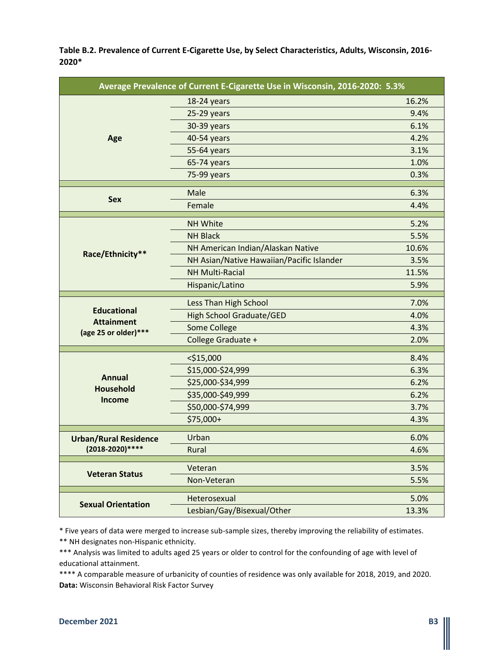**Table B.2. Prevalence of Current E-Cigarette Use, by Select Characteristics, Adults, Wisconsin, 2016- 2020\***

| 16.2%<br>18-24 years<br>25-29 years<br>9.4%<br>6.1%<br>30-39 years<br>4.2%<br>40-54 years<br>Age<br>3.1%<br>55-64 years<br>1.0%<br>65-74 years<br>0.3%<br>75-99 years<br>Male<br>6.3%<br><b>Sex</b><br>Female<br>4.4%<br>5.2%<br><b>NH White</b><br><b>NH Black</b><br>5.5%<br>10.6%<br>NH American Indian/Alaskan Native<br>Race/Ethnicity**<br>NH Asian/Native Hawaiian/Pacific Islander<br>3.5%<br><b>NH Multi-Racial</b><br>11.5%<br>5.9%<br>Hispanic/Latino<br>7.0%<br>Less Than High School<br><b>Educational</b><br><b>High School Graduate/GED</b><br>4.0%<br><b>Attainment</b><br>Some College<br>4.3%<br>(age 25 or older)***<br>College Graduate +<br>2.0%<br>$<$ \$15,000<br>8.4%<br>\$15,000-\$24,999<br>6.3%<br><b>Annual</b><br>\$25,000-\$34,999<br>6.2%<br><b>Household</b><br>\$35,000-\$49,999<br>6.2%<br>Income<br>\$50,000-\$74,999<br>3.7%<br>\$75,000+<br>4.3%<br>Urban<br>6.0%<br><b>Urban/Rural Residence</b><br>(2018-2020) ****<br>Rural<br>4.6%<br>3.5%<br>Veteran<br><b>Veteran Status</b><br>5.5%<br>Non-Veteran<br>5.0%<br>Heterosexual<br><b>Sexual Orientation</b><br>Lesbian/Gay/Bisexual/Other<br>13.3% | Average Prevalence of Current E-Cigarette Use in Wisconsin, 2016-2020: 5.3% |  |  |
|--------------------------------------------------------------------------------------------------------------------------------------------------------------------------------------------------------------------------------------------------------------------------------------------------------------------------------------------------------------------------------------------------------------------------------------------------------------------------------------------------------------------------------------------------------------------------------------------------------------------------------------------------------------------------------------------------------------------------------------------------------------------------------------------------------------------------------------------------------------------------------------------------------------------------------------------------------------------------------------------------------------------------------------------------------------------------------------------------------------------------------------------|-----------------------------------------------------------------------------|--|--|
|                                                                                                                                                                                                                                                                                                                                                                                                                                                                                                                                                                                                                                                                                                                                                                                                                                                                                                                                                                                                                                                                                                                                            |                                                                             |  |  |
|                                                                                                                                                                                                                                                                                                                                                                                                                                                                                                                                                                                                                                                                                                                                                                                                                                                                                                                                                                                                                                                                                                                                            |                                                                             |  |  |
|                                                                                                                                                                                                                                                                                                                                                                                                                                                                                                                                                                                                                                                                                                                                                                                                                                                                                                                                                                                                                                                                                                                                            |                                                                             |  |  |
|                                                                                                                                                                                                                                                                                                                                                                                                                                                                                                                                                                                                                                                                                                                                                                                                                                                                                                                                                                                                                                                                                                                                            |                                                                             |  |  |
|                                                                                                                                                                                                                                                                                                                                                                                                                                                                                                                                                                                                                                                                                                                                                                                                                                                                                                                                                                                                                                                                                                                                            |                                                                             |  |  |
|                                                                                                                                                                                                                                                                                                                                                                                                                                                                                                                                                                                                                                                                                                                                                                                                                                                                                                                                                                                                                                                                                                                                            |                                                                             |  |  |
|                                                                                                                                                                                                                                                                                                                                                                                                                                                                                                                                                                                                                                                                                                                                                                                                                                                                                                                                                                                                                                                                                                                                            |                                                                             |  |  |
|                                                                                                                                                                                                                                                                                                                                                                                                                                                                                                                                                                                                                                                                                                                                                                                                                                                                                                                                                                                                                                                                                                                                            |                                                                             |  |  |
|                                                                                                                                                                                                                                                                                                                                                                                                                                                                                                                                                                                                                                                                                                                                                                                                                                                                                                                                                                                                                                                                                                                                            |                                                                             |  |  |
|                                                                                                                                                                                                                                                                                                                                                                                                                                                                                                                                                                                                                                                                                                                                                                                                                                                                                                                                                                                                                                                                                                                                            |                                                                             |  |  |
|                                                                                                                                                                                                                                                                                                                                                                                                                                                                                                                                                                                                                                                                                                                                                                                                                                                                                                                                                                                                                                                                                                                                            |                                                                             |  |  |
|                                                                                                                                                                                                                                                                                                                                                                                                                                                                                                                                                                                                                                                                                                                                                                                                                                                                                                                                                                                                                                                                                                                                            |                                                                             |  |  |
|                                                                                                                                                                                                                                                                                                                                                                                                                                                                                                                                                                                                                                                                                                                                                                                                                                                                                                                                                                                                                                                                                                                                            |                                                                             |  |  |
|                                                                                                                                                                                                                                                                                                                                                                                                                                                                                                                                                                                                                                                                                                                                                                                                                                                                                                                                                                                                                                                                                                                                            |                                                                             |  |  |
|                                                                                                                                                                                                                                                                                                                                                                                                                                                                                                                                                                                                                                                                                                                                                                                                                                                                                                                                                                                                                                                                                                                                            |                                                                             |  |  |
|                                                                                                                                                                                                                                                                                                                                                                                                                                                                                                                                                                                                                                                                                                                                                                                                                                                                                                                                                                                                                                                                                                                                            |                                                                             |  |  |
|                                                                                                                                                                                                                                                                                                                                                                                                                                                                                                                                                                                                                                                                                                                                                                                                                                                                                                                                                                                                                                                                                                                                            |                                                                             |  |  |
|                                                                                                                                                                                                                                                                                                                                                                                                                                                                                                                                                                                                                                                                                                                                                                                                                                                                                                                                                                                                                                                                                                                                            |                                                                             |  |  |
|                                                                                                                                                                                                                                                                                                                                                                                                                                                                                                                                                                                                                                                                                                                                                                                                                                                                                                                                                                                                                                                                                                                                            |                                                                             |  |  |
|                                                                                                                                                                                                                                                                                                                                                                                                                                                                                                                                                                                                                                                                                                                                                                                                                                                                                                                                                                                                                                                                                                                                            |                                                                             |  |  |
|                                                                                                                                                                                                                                                                                                                                                                                                                                                                                                                                                                                                                                                                                                                                                                                                                                                                                                                                                                                                                                                                                                                                            |                                                                             |  |  |
|                                                                                                                                                                                                                                                                                                                                                                                                                                                                                                                                                                                                                                                                                                                                                                                                                                                                                                                                                                                                                                                                                                                                            |                                                                             |  |  |
|                                                                                                                                                                                                                                                                                                                                                                                                                                                                                                                                                                                                                                                                                                                                                                                                                                                                                                                                                                                                                                                                                                                                            |                                                                             |  |  |
|                                                                                                                                                                                                                                                                                                                                                                                                                                                                                                                                                                                                                                                                                                                                                                                                                                                                                                                                                                                                                                                                                                                                            |                                                                             |  |  |
|                                                                                                                                                                                                                                                                                                                                                                                                                                                                                                                                                                                                                                                                                                                                                                                                                                                                                                                                                                                                                                                                                                                                            |                                                                             |  |  |
|                                                                                                                                                                                                                                                                                                                                                                                                                                                                                                                                                                                                                                                                                                                                                                                                                                                                                                                                                                                                                                                                                                                                            |                                                                             |  |  |
|                                                                                                                                                                                                                                                                                                                                                                                                                                                                                                                                                                                                                                                                                                                                                                                                                                                                                                                                                                                                                                                                                                                                            |                                                                             |  |  |
|                                                                                                                                                                                                                                                                                                                                                                                                                                                                                                                                                                                                                                                                                                                                                                                                                                                                                                                                                                                                                                                                                                                                            |                                                                             |  |  |
|                                                                                                                                                                                                                                                                                                                                                                                                                                                                                                                                                                                                                                                                                                                                                                                                                                                                                                                                                                                                                                                                                                                                            |                                                                             |  |  |
|                                                                                                                                                                                                                                                                                                                                                                                                                                                                                                                                                                                                                                                                                                                                                                                                                                                                                                                                                                                                                                                                                                                                            |                                                                             |  |  |
|                                                                                                                                                                                                                                                                                                                                                                                                                                                                                                                                                                                                                                                                                                                                                                                                                                                                                                                                                                                                                                                                                                                                            |                                                                             |  |  |
|                                                                                                                                                                                                                                                                                                                                                                                                                                                                                                                                                                                                                                                                                                                                                                                                                                                                                                                                                                                                                                                                                                                                            |                                                                             |  |  |

\* Five years of data were merged to increase sub-sample sizes, thereby improving the reliability of estimates.

\*\* NH designates non-Hispanic ethnicity.

\*\*\* Analysis was limited to adults aged 25 years or older to control for the confounding of age with level of educational attainment.

\*\*\*\* A comparable measure of urbanicity of counties of residence was only available for 2018, 2019, and 2020. **Data:** Wisconsin Behavioral Risk Factor Survey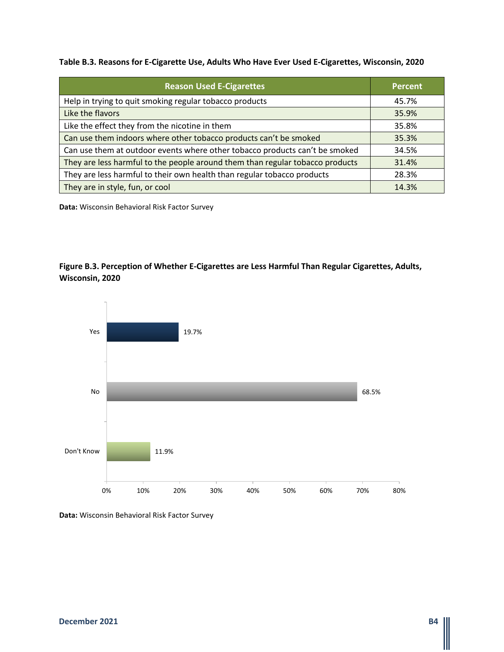#### **Table B.3. Reasons for E-Cigarette Use, Adults Who Have Ever Used E-Cigarettes, Wisconsin, 2020**

| <b>Reason Used E-Cigarettes</b>                                               | <b>Percent</b> |
|-------------------------------------------------------------------------------|----------------|
| Help in trying to quit smoking regular tobacco products                       | 45.7%          |
| Like the flavors                                                              | 35.9%          |
| Like the effect they from the nicotine in them                                | 35.8%          |
| Can use them indoors where other tobacco products can't be smoked             | 35.3%          |
| Can use them at outdoor events where other tobacco products can't be smoked   | 34.5%          |
| They are less harmful to the people around them than regular tobacco products | 31.4%          |
| They are less harmful to their own health than regular tobacco products       | 28.3%          |
| They are in style, fun, or cool                                               | 14.3%          |

**Data:** Wisconsin Behavioral Risk Factor Survey

### **Figure B.3. Perception of Whether E-Cigarettes are Less Harmful Than Regular Cigarettes, Adults, Wisconsin, 2020**

![](_page_11_Figure_4.jpeg)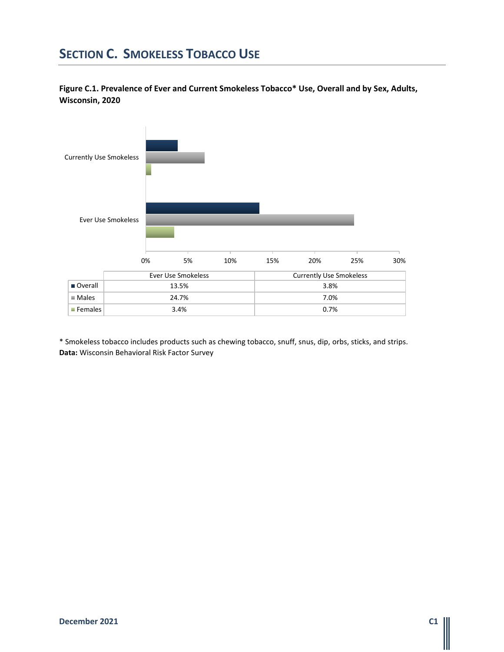## **SECTION C. SMOKELESS TOBACCO USE**

**Figure C.1. Prevalence of Ever and Current Smokeless Tobacco\* Use, Overall and by Sex, Adults, Wisconsin, 2020**

![](_page_12_Figure_2.jpeg)

\* Smokeless tobacco includes products such as chewing tobacco, snuff, snus, dip, orbs, sticks, and strips. **Data:** Wisconsin Behavioral Risk Factor Survey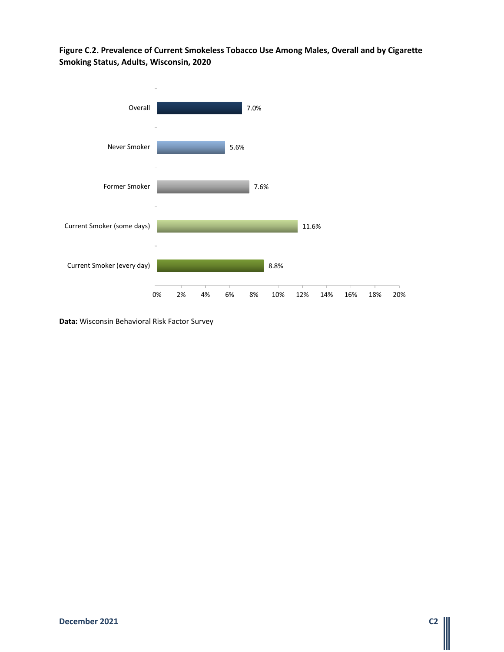### **Figure C.2. Prevalence of Current Smokeless Tobacco Use Among Males, Overall and by Cigarette Smoking Status, Adults, Wisconsin, 2020**

![](_page_13_Figure_1.jpeg)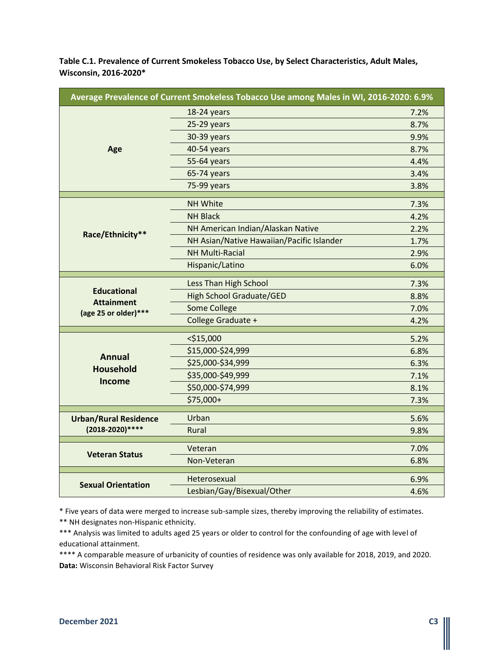**Table C.1. Prevalence of Current Smokeless Tobacco Use, by Select Characteristics, Adult Males, Wisconsin, 2016-2020\***

| Average Prevalence of Current Smokeless Tobacco Use among Males in WI, 2016-2020: 6.9% |                                           |      |
|----------------------------------------------------------------------------------------|-------------------------------------------|------|
|                                                                                        | 18-24 years                               | 7.2% |
|                                                                                        | 25-29 years                               | 8.7% |
|                                                                                        | 30-39 years                               | 9.9% |
| Age                                                                                    | 40-54 years                               | 8.7% |
|                                                                                        | 55-64 years                               | 4.4% |
|                                                                                        | 65-74 years                               | 3.4% |
|                                                                                        | 75-99 years                               | 3.8% |
|                                                                                        | <b>NH White</b>                           | 7.3% |
|                                                                                        | <b>NH Black</b>                           | 4.2% |
|                                                                                        | NH American Indian/Alaskan Native         | 2.2% |
| Race/Ethnicity**                                                                       | NH Asian/Native Hawaiian/Pacific Islander | 1.7% |
|                                                                                        | <b>NH Multi-Racial</b>                    | 2.9% |
|                                                                                        | Hispanic/Latino                           | 6.0% |
|                                                                                        |                                           |      |
| <b>Educational</b>                                                                     | Less Than High School                     | 7.3% |
| <b>Attainment</b>                                                                      | <b>High School Graduate/GED</b>           | 8.8% |
| (age 25 or older)***                                                                   | <b>Some College</b>                       | 7.0% |
|                                                                                        | College Graduate +                        | 4.2% |
|                                                                                        | $<$ \$15,000                              | 5.2% |
|                                                                                        | \$15,000-\$24,999                         | 6.8% |
| <b>Annual</b>                                                                          | \$25,000-\$34,999                         | 6.3% |
| <b>Household</b>                                                                       | \$35,000-\$49,999                         | 7.1% |
| Income                                                                                 | \$50,000-\$74,999                         | 8.1% |
|                                                                                        | \$75,000+                                 | 7.3% |
|                                                                                        | Urban                                     | 5.6% |
| <b>Urban/Rural Residence</b><br>(2018-2020)****                                        | Rural                                     | 9.8% |
|                                                                                        |                                           |      |
| <b>Veteran Status</b>                                                                  | Veteran                                   | 7.0% |
|                                                                                        | Non-Veteran                               | 6.8% |
|                                                                                        | Heterosexual                              | 6.9% |
| <b>Sexual Orientation</b>                                                              | Lesbian/Gay/Bisexual/Other                | 4.6% |

\* Five years of data were merged to increase sub-sample sizes, thereby improving the reliability of estimates.

\*\* NH designates non-Hispanic ethnicity.

\*\*\* Analysis was limited to adults aged 25 years or older to control for the confounding of age with level of educational attainment.

\*\*\*\* A comparable measure of urbanicity of counties of residence was only available for 2018, 2019, and 2020. **Data:** Wisconsin Behavioral Risk Factor Survey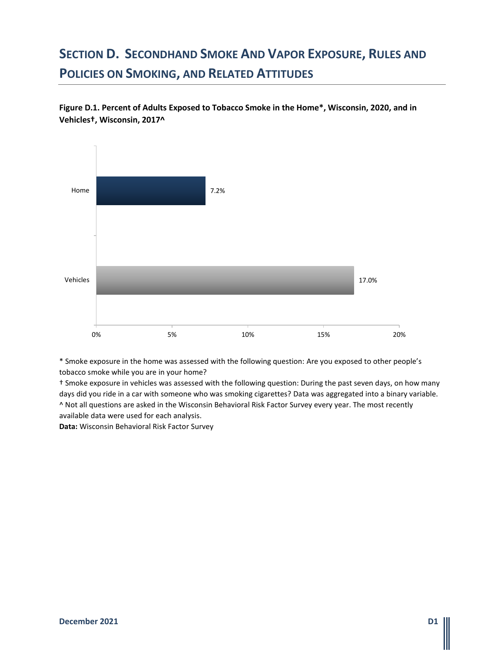# **SECTION D. SECONDHAND SMOKE AND VAPOR EXPOSURE, RULES AND POLICIES ON SMOKING, AND RELATED ATTITUDES**

**Figure D.1. Percent of Adults Exposed to Tobacco Smoke in the Home\*, Wisconsin, 2020, and in Vehicles†, Wisconsin, 2017^**

![](_page_15_Figure_2.jpeg)

\* Smoke exposure in the home was assessed with the following question: Are you exposed to other people's tobacco smoke while you are in your home?

† Smoke exposure in vehicles was assessed with the following question: During the past seven days, on how many days did you ride in a car with someone who was smoking cigarettes? Data was aggregated into a binary variable. ^ Not all questions are asked in the Wisconsin Behavioral Risk Factor Survey every year. The most recently available data were used for each analysis.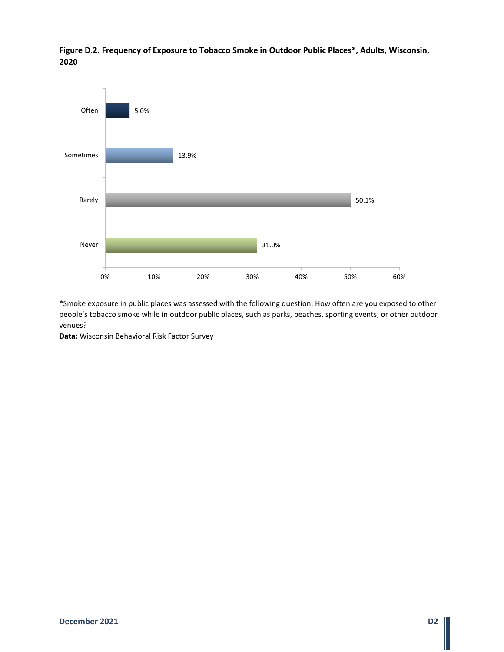![](_page_16_Figure_0.jpeg)

**Figure D.2. Frequency of Exposure to Tobacco Smoke in Outdoor Public Places\*, Adults, Wisconsin, 2020**

\*Smoke exposure in public places was assessed with the following question: How often are you exposed to other people's tobacco smoke while in outdoor public places, such as parks, beaches, sporting events, or other outdoor venues?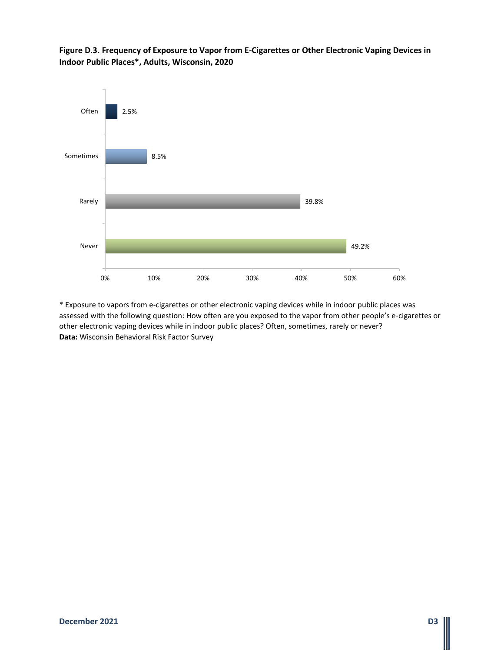**Figure D.3. Frequency of Exposure to Vapor from E-Cigarettes or Other Electronic Vaping Devices in Indoor Public Places\*, Adults, Wisconsin, 2020**

![](_page_17_Figure_1.jpeg)

\* Exposure to vapors from e-cigarettes or other electronic vaping devices while in indoor public places was assessed with the following question: How often are you exposed to the vapor from other people's e-cigarettes or other electronic vaping devices while in indoor public places? Often, sometimes, rarely or never? **Data:** Wisconsin Behavioral Risk Factor Survey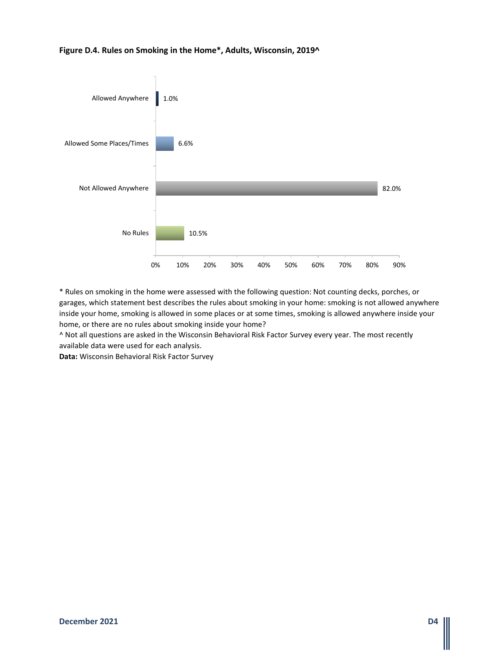#### **Figure D.4. Rules on Smoking in the Home\*, Adults, Wisconsin, 2019^**

![](_page_18_Figure_1.jpeg)

\* Rules on smoking in the home were assessed with the following question: Not counting decks, porches, or garages, which statement best describes the rules about smoking in your home: smoking is not allowed anywhere inside your home, smoking is allowed in some places or at some times, smoking is allowed anywhere inside your home, or there are no rules about smoking inside your home?

^ Not all questions are asked in the Wisconsin Behavioral Risk Factor Survey every year. The most recently available data were used for each analysis.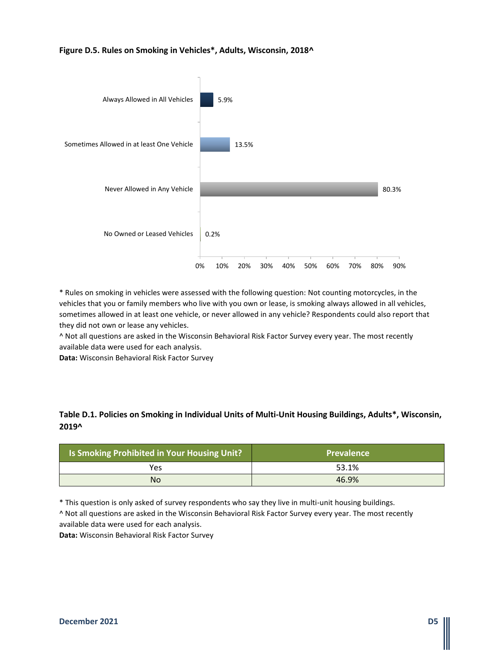#### **Figure D.5. Rules on Smoking in Vehicles\*, Adults, Wisconsin, 2018^**

![](_page_19_Figure_1.jpeg)

\* Rules on smoking in vehicles were assessed with the following question: Not counting motorcycles, in the vehicles that you or family members who live with you own or lease, is smoking always allowed in all vehicles, sometimes allowed in at least one vehicle, or never allowed in any vehicle? Respondents could also report that they did not own or lease any vehicles.

^ Not all questions are asked in the Wisconsin Behavioral Risk Factor Survey every year. The most recently available data were used for each analysis.

**Data:** Wisconsin Behavioral Risk Factor Survey

#### **Table D.1. Policies on Smoking in Individual Units of Multi-Unit Housing Buildings, Adults\*, Wisconsin, 2019^**

| <b>Is Smoking Prohibited in Your Housing Unit?</b> | <b>Prevalence</b> |
|----------------------------------------------------|-------------------|
| Yes                                                | 53.1%             |
| No                                                 | 46.9%             |

\* This question is only asked of survey respondents who say they live in multi-unit housing buildings.

^ Not all questions are asked in the Wisconsin Behavioral Risk Factor Survey every year. The most recently available data were used for each analysis.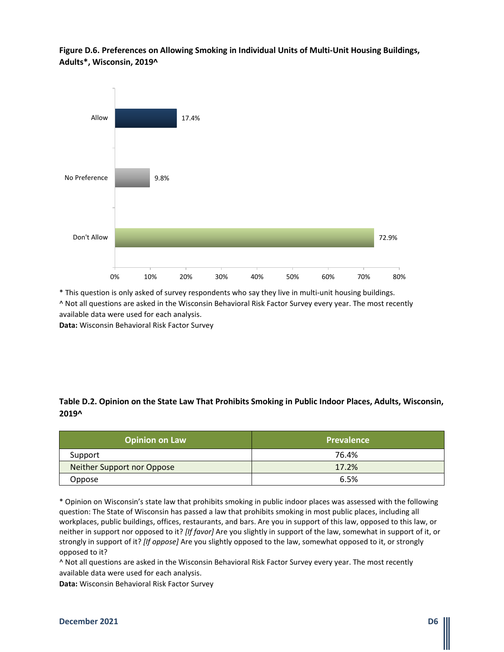**Figure D.6. Preferences on Allowing Smoking in Individual Units of Multi-Unit Housing Buildings, Adults\*, Wisconsin, 2019^**

![](_page_20_Figure_1.jpeg)

\* This question is only asked of survey respondents who say they live in multi-unit housing buildings. ^ Not all questions are asked in the Wisconsin Behavioral Risk Factor Survey every year. The most recently available data were used for each analysis.

**Data:** Wisconsin Behavioral Risk Factor Survey

### **Table D.2. Opinion on the State Law That Prohibits Smoking in Public Indoor Places, Adults, Wisconsin, 2019^**

| <b>Opinion on Law</b>      | <b>Prevalence</b> |
|----------------------------|-------------------|
| Support                    | 76.4%             |
| Neither Support nor Oppose | 17.2%             |
| Oppose                     | 6.5%              |

\* Opinion on Wisconsin's state law that prohibits smoking in public indoor places was assessed with the following question: The State of Wisconsin has passed a law that prohibits smoking in most public places, including all workplaces, public buildings, offices, restaurants, and bars. Are you in support of this law, opposed to this law, or neither in support nor opposed to it? *[If favor]* Are you slightly in support of the law, somewhat in support of it, or strongly in support of it? *[If oppose]* Are you slightly opposed to the law, somewhat opposed to it, or strongly opposed to it?

^ Not all questions are asked in the Wisconsin Behavioral Risk Factor Survey every year. The most recently available data were used for each analysis.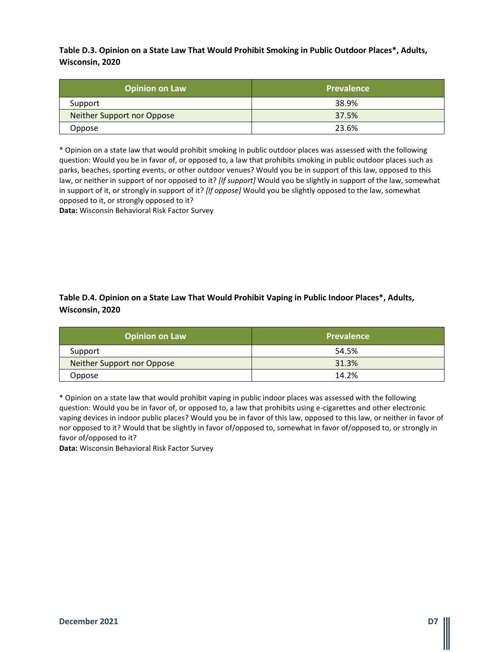**Table D.3. Opinion on a State Law That Would Prohibit Smoking in Public Outdoor Places\*, Adults, Wisconsin, 2020**

| <b>Opinion on Law</b>      | <b>Prevalence</b> |
|----------------------------|-------------------|
| Support                    | 38.9%             |
| Neither Support nor Oppose | 37.5%             |
| Oppose                     | 23.6%             |

\* Opinion on a state law that would prohibit smoking in public outdoor places was assessed with the following question: Would you be in favor of, or opposed to, a law that prohibits smoking in public outdoor places such as parks, beaches, sporting events, or other outdoor venues? Would you be in support of this law, opposed to this law, or neither in support of nor opposed to it? *[If support]* Would you be slightly in support of the law, somewhat in support of it, or strongly in support of it? *[If oppose]* Would you be slightly opposed to the law, somewhat opposed to it, or strongly opposed to it?

**Data:** Wisconsin Behavioral Risk Factor Survey

**Table D.4. Opinion on a State Law That Would Prohibit Vaping in Public Indoor Places\*, Adults, Wisconsin, 2020**

| <b>Opinion on Law</b>      | Prevalence |
|----------------------------|------------|
| Support                    | 54.5%      |
| Neither Support nor Oppose | 31.3%      |
| Oppose                     | 14.2%      |

\* Opinion on a state law that would prohibit vaping in public indoor places was assessed with the following question: Would you be in favor of, or opposed to, a law that prohibits using e-cigarettes and other electronic vaping devices in indoor public places? Would you be in favor of this law, opposed to this law, or neither in favor of nor opposed to it? Would that be slightly in favor of/opposed to, somewhat in favor of/opposed to, or strongly in favor of/opposed to it?